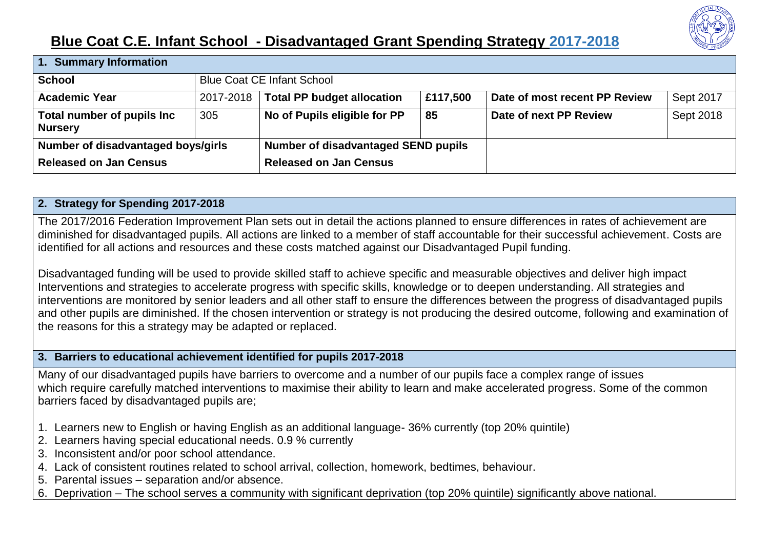

## **Blue Coat C.E. Infant School - Disadvantaged Grant Spending Strategy 2017-2018**

| 1. Summary Information                       |           |                                            |          |                               |           |  |  |  |  |
|----------------------------------------------|-----------|--------------------------------------------|----------|-------------------------------|-----------|--|--|--|--|
| <b>School</b>                                |           | <b>Blue Coat CE Infant School</b>          |          |                               |           |  |  |  |  |
| <b>Academic Year</b>                         | 2017-2018 | <b>Total PP budget allocation</b>          | £117,500 | Date of most recent PP Review | Sept 2017 |  |  |  |  |
| Total number of pupils Inc<br><b>Nursery</b> | 305       | No of Pupils eligible for PP               | 85       | Date of next PP Review        | Sept 2018 |  |  |  |  |
| Number of disadvantaged boys/girls           |           | <b>Number of disadvantaged SEND pupils</b> |          |                               |           |  |  |  |  |
| <b>Released on Jan Census</b>                |           | <b>Released on Jan Census</b>              |          |                               |           |  |  |  |  |

## **2. Strategy for Spending 2017-2018**

The 2017/2016 Federation Improvement Plan sets out in detail the actions planned to ensure differences in rates of achievement are diminished for disadvantaged pupils. All actions are linked to a member of staff accountable for their successful achievement. Costs are identified for all actions and resources and these costs matched against our Disadvantaged Pupil funding.

Disadvantaged funding will be used to provide skilled staff to achieve specific and measurable objectives and deliver high impact Interventions and strategies to accelerate progress with specific skills, knowledge or to deepen understanding. All strategies and interventions are monitored by senior leaders and all other staff to ensure the differences between the progress of disadvantaged pupils and other pupils are diminished. If the chosen intervention or strategy is not producing the desired outcome, following and examination of the reasons for this a strategy may be adapted or replaced.

## **3. Barriers to educational achievement identified for pupils 2017-2018**

Many of our disadvantaged pupils have barriers to overcome and a number of our pupils face a complex range of issues which require carefully matched interventions to maximise their ability to learn and make accelerated progress. Some of the common barriers faced by disadvantaged pupils are;

- 1. Learners new to English or having English as an additional language- 36% currently (top 20% quintile)
- 2. Learners having special educational needs. 0.9 % currently
- 3. Inconsistent and/or poor school attendance.
- 4. Lack of consistent routines related to school arrival, collection, homework, bedtimes, behaviour.
- 5. Parental issues separation and/or absence.
- 6. Deprivation The school serves a community with significant deprivation (top 20% quintile) significantly above national.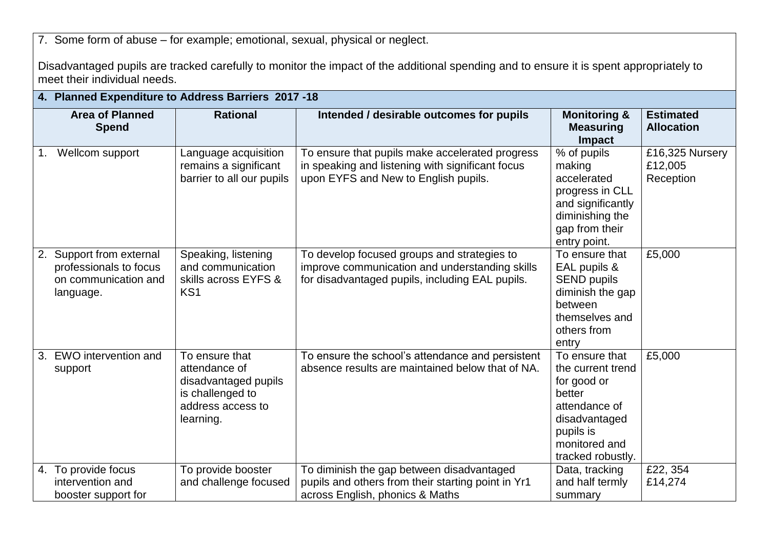7. Some form of abuse – for example; emotional, sexual, physical or neglect.

Disadvantaged pupils are tracked carefully to monitor the impact of the additional spending and to ensure it is spent appropriately to meet their individual needs.

|    | 4. Planned Expenditure to Address Barriers 2017 -18                                  |                                                                                                               |                                                                                                                                                  |                                                                                                                                                   |                                         |  |  |
|----|--------------------------------------------------------------------------------------|---------------------------------------------------------------------------------------------------------------|--------------------------------------------------------------------------------------------------------------------------------------------------|---------------------------------------------------------------------------------------------------------------------------------------------------|-----------------------------------------|--|--|
|    | <b>Area of Planned</b><br><b>Spend</b>                                               | <b>Rational</b>                                                                                               | Intended / desirable outcomes for pupils                                                                                                         | <b>Monitoring &amp;</b><br><b>Measuring</b><br><b>Impact</b>                                                                                      | <b>Estimated</b><br><b>Allocation</b>   |  |  |
| 1. | Wellcom support                                                                      | Language acquisition<br>remains a significant<br>barrier to all our pupils                                    | To ensure that pupils make accelerated progress<br>in speaking and listening with significant focus<br>upon EYFS and New to English pupils.      | % of pupils<br>making<br>accelerated<br>progress in CLL<br>and significantly<br>diminishing the<br>gap from their<br>entry point.                 | £16,325 Nursery<br>£12,005<br>Reception |  |  |
| 2. | Support from external<br>professionals to focus<br>on communication and<br>language. | Speaking, listening<br>and communication<br>skills across EYFS &<br>KS <sub>1</sub>                           | To develop focused groups and strategies to<br>improve communication and understanding skills<br>for disadvantaged pupils, including EAL pupils. | To ensure that<br>EAL pupils &<br><b>SEND pupils</b><br>diminish the gap<br>between<br>themselves and<br>others from<br>entry                     | £5,000                                  |  |  |
|    | 3. EWO intervention and<br>support                                                   | To ensure that<br>attendance of<br>disadvantaged pupils<br>is challenged to<br>address access to<br>learning. | To ensure the school's attendance and persistent<br>absence results are maintained below that of NA.                                             | To ensure that<br>the current trend<br>for good or<br>better<br>attendance of<br>disadvantaged<br>pupils is<br>monitored and<br>tracked robustly. | £5,000                                  |  |  |
|    | 4. To provide focus<br>intervention and<br>booster support for                       | To provide booster<br>and challenge focused                                                                   | To diminish the gap between disadvantaged<br>pupils and others from their starting point in Yr1<br>across English, phonics & Maths               | Data, tracking<br>and half termly<br>summary                                                                                                      | £22, 354<br>£14,274                     |  |  |